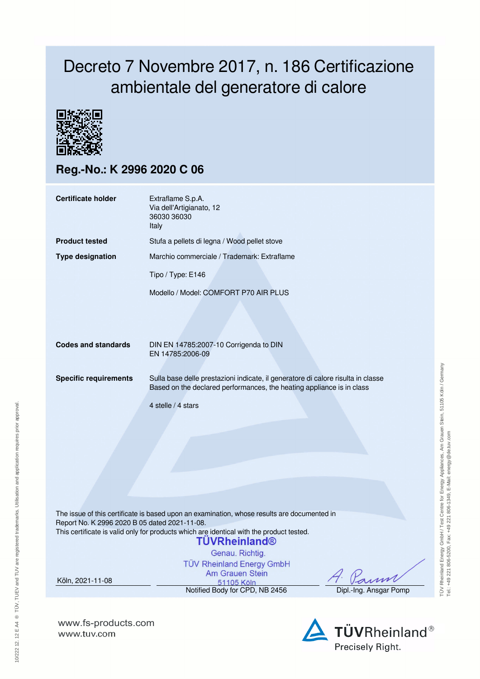## Decreto 7 Novembre 2017, n. 186 Certificazione ambientale del generatore di calore



**Reg.-No.: K 2996 2020 C 06**

| <b>Certificate holder</b>                     | Extraflame S.p.A.<br>Via dell'Artigianato, 12<br>36030 36030<br>Italy                                                                                                                                                                                                  |                        |  |  |  |  |
|-----------------------------------------------|------------------------------------------------------------------------------------------------------------------------------------------------------------------------------------------------------------------------------------------------------------------------|------------------------|--|--|--|--|
| <b>Product tested</b>                         | Stufa a pellets di legna / Wood pellet stove                                                                                                                                                                                                                           |                        |  |  |  |  |
| <b>Type designation</b>                       | Marchio commerciale / Trademark: Extraflame                                                                                                                                                                                                                            |                        |  |  |  |  |
|                                               | Tipo / Type: E146                                                                                                                                                                                                                                                      |                        |  |  |  |  |
|                                               | Modello / Model: COMFORT P70 AIR PLUS                                                                                                                                                                                                                                  |                        |  |  |  |  |
| <b>Codes and standards</b>                    | DIN EN 14785:2007-10 Corrigenda to DIN<br>EN 14785:2006-09                                                                                                                                                                                                             |                        |  |  |  |  |
| <b>Specific requirements</b>                  | Sulla base delle prestazioni indicate, il generatore di calore risulta in classe<br>Based on the declared performances, the heating appliance is in class                                                                                                              |                        |  |  |  |  |
|                                               | 4 stelle / 4 stars                                                                                                                                                                                                                                                     |                        |  |  |  |  |
|                                               |                                                                                                                                                                                                                                                                        |                        |  |  |  |  |
| Report No. K 2996 2020 B 05 dated 2021-11-08. | The issue of this certificate is based upon an examination, whose results are documented in<br>This certificate is valid only for products which are identical with the product tested.<br><b>TÜVRheinland®</b><br>Genau. Richtig.<br><b>TÜV Rheinland Energy GmbH</b> |                        |  |  |  |  |
| Köln, 2021-11-08                              | Am Grauen Stein<br>51105 Köln                                                                                                                                                                                                                                          |                        |  |  |  |  |
|                                               | Notified Body for CPD, NB 2456                                                                                                                                                                                                                                         | Dipl.-Ing. Ansgar Pomp |  |  |  |  |

**www.fs-products.com** www.tuv.com

10/222 12. 12 E A4 ® TÜV, TUEV and TUV are registered trademarks. Utilisation and application requires prior approval.

10/222 12. 12 E A4 ® TŪV, TUEV and TUV are registered trademarks. Utilisation and application requires prior approval.